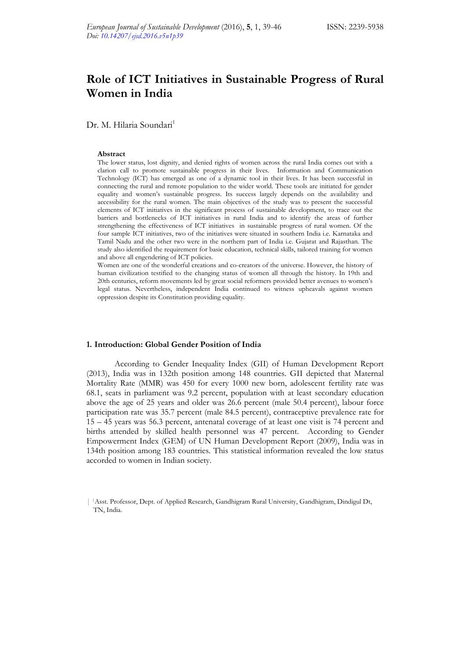# **Role of ICT Initiatives in Sustainable Progress of Rural Women in India**

Dr. M. Hilaria Soundari<sup>1</sup>

#### **Abstract**

The lower status, lost dignity, and denied rights of women across the rural India comes out with a clarion call to promote sustainable progress in their lives. Information and Communication Technology (ICT) has emerged as one of a dynamic tool in their lives. It has been successful in connecting the rural and remote population to the wider world. These tools are initiated for gender equality and women's sustainable progress. Its success largely depends on the availability and accessibility for the rural women. The main objectives of the study was to present the successful elements of ICT initiatives in the significant process of sustainable development, to trace out the barriers and bottlenecks of ICT initiatives in rural India and to identify the areas of further strengthening the effectiveness of ICT initiatives in sustainable progress of rural women. Of the four sample ICT initiatives, two of the initiatives were situated in southern India i.e. Karnataka and Tamil Nadu and the other two were in the northern part of India i.e. Gujarat and Rajasthan. The study also identified the requirement for basic education, technical skills, tailored training for women and above all engendering of ICT policies.

Women are one of the wonderful creations and co-creators of the universe. However, the history of human civilization testified to the changing status of women all through the history. In 19th and 20th centuries, reform movements led by great social reformers provided better avenues to women's legal status. Nevertheless, independent India continued to witness upheavals against women oppression despite its Constitution providing equality.

#### **1. Introduction: Global Gender Position of India**

According to Gender Inequality Index (GII) of Human Development Report (2013), India was in 132th position among 148 countries. GII depicted that Maternal Mortality Rate (MMR) was 450 for every 1000 new born, adolescent fertility rate was 68.1, seats in parliament was 9.2 percent, population with at least secondary education above the age of 25 years and older was 26.6 percent (male 50.4 percent), labour force participation rate was 35.7 percent (male 84.5 percent), contraceptive prevalence rate for 15 – 45 years was 56.3 percent, antenatal coverage of at least one visit is 74 percent and births attended by skilled health personnel was 47 percent. According to Gender Empowerment Index (GEM) of UN Human Development Report (2009), India was in 134th position among 183 countries. This statistical information revealed the low status accorded to women in Indian society.

<sup>| 1</sup>Asst. Professor, Dept. of Applied Research, Gandhigram Rural University, Gandhigram, Dindigul Dt, TN, India.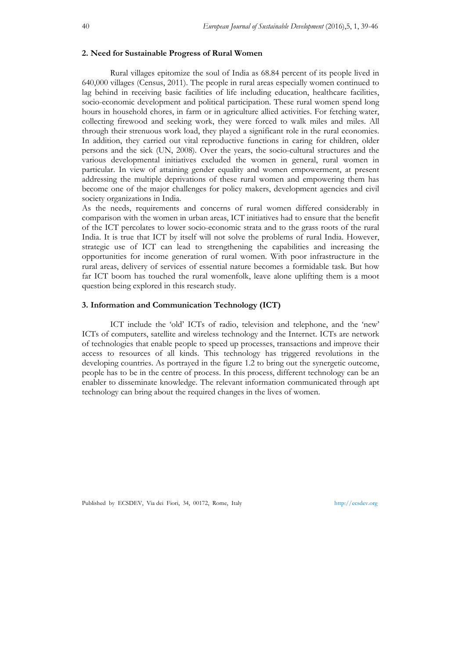# **2. Need for Sustainable Progress of Rural Women**

Rural villages epitomize the soul of India as 68.84 percent of its people lived in 640,000 villages (Census, 2011). The people in rural areas especially women continued to lag behind in receiving basic facilities of life including education, healthcare facilities, socio-economic development and political participation. These rural women spend long hours in household chores, in farm or in agriculture allied activities. For fetching water, collecting firewood and seeking work, they were forced to walk miles and miles. All through their strenuous work load, they played a significant role in the rural economies. In addition, they carried out vital reproductive functions in caring for children, older persons and the sick (UN, 2008). Over the years, the socio-cultural structures and the various developmental initiatives excluded the women in general, rural women in particular. In view of attaining gender equality and women empowerment, at present addressing the multiple deprivations of these rural women and empowering them has become one of the major challenges for policy makers, development agencies and civil society organizations in India.

As the needs, requirements and concerns of rural women differed considerably in comparison with the women in urban areas, ICT initiatives had to ensure that the benefit of the ICT percolates to lower socio-economic strata and to the grass roots of the rural India. It is true that ICT by itself will not solve the problems of rural India. However, strategic use of ICT can lead to strengthening the capabilities and increasing the opportunities for income generation of rural women. With poor infrastructure in the rural areas, delivery of services of essential nature becomes a formidable task. But how far ICT boom has touched the rural womenfolk, leave alone uplifting them is a moot question being explored in this research study.

# **3. Information and Communication Technology (ICT)**

ICT include the 'old' ICTs of radio, television and telephone, and the 'new' ICTs of computers, satellite and wireless technology and the Internet. ICTs are network of technologies that enable people to speed up processes, transactions and improve their access to resources of all kinds. This technology has triggered revolutions in the developing countries. As portrayed in the figure 1.2 to bring out the synergetic outcome, people has to be in the centre of process. In this process, different technology can be an enabler to disseminate knowledge. The relevant information communicated through apt technology can bring about the required changes in the lives of women.

Published by ECSDEV, Via dei Fiori, 34, 00172, Rome, Italy http://ecsdev.org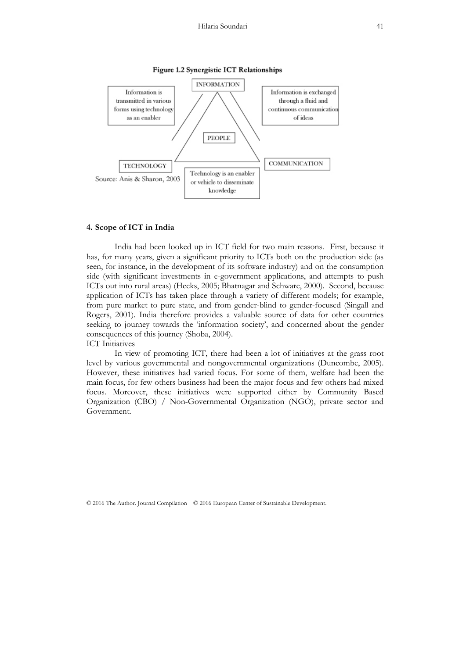

#### Figure 1.2 Synergistic ICT Relationships

# **4. Scope of ICT in India**

India had been looked up in ICT field for two main reasons. First, because it has, for many years, given a significant priority to ICTs both on the production side (as seen, for instance, in the development of its software industry) and on the consumption side (with significant investments in e-government applications, and attempts to push ICTs out into rural areas) (Heeks, 2005; Bhatnagar and Schware, 2000). Second, because application of ICTs has taken place through a variety of different models; for example, from pure market to pure state, and from gender-blind to gender-focused (Singall and Rogers, 2001). India therefore provides a valuable source of data for other countries seeking to journey towards the 'information society', and concerned about the gender consequences of this journey (Shoba, 2004). ICT Initiatives

 In view of promoting ICT, there had been a lot of initiatives at the grass root level by various governmental and nongovernmental organizations (Duncombe, 2005). However, these initiatives had varied focus. For some of them, welfare had been the main focus, for few others business had been the major focus and few others had mixed focus. Moreover, these initiatives were supported either by Community Based Organization (CBO) / Non-Governmental Organization (NGO), private sector and Government.

© 2016 The Author. Journal Compilation © 2016 European Center of Sustainable Development.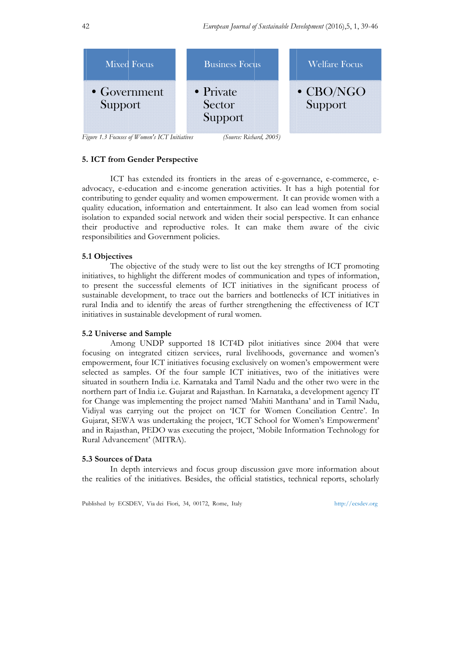

*Fi Figure 1.3 Focuses of Women's ICT I Initiatives* 

*(Source: Richa ard, 2005)*

## **5. ICT from Gender Perspective**

advocacy, e-education and e-income generation activities. It has a high potential for contributing to gender equality and women empowerment. It can provide women with a quality education, information and entertainment. It also can lead women from social isolation to expanded social network and widen their social perspective. It can enhance their productive and reproductive roles. It can make them aware of the civic responsibilities and Government policies. ICT has extended its frontiers in the areas of e-governance, e-commerce, e-

## **5 .1 Objective es**

initiatives, to highlight the different modes of communication and types of information, to present the successful elements of ICT initiatives in the significant process of sustainable development, to trace out the barriers and bottlenecks of ICT initiatives in rural India and to identify the areas of further strengthening the effectiveness of ICT initiatives in sustainable development of rural women. The objective of the study were to list out the key strengths of ICT promoting

## **5 .2 Universe and Sample e**

focusing on integrated citizen services, rural livelihoods, governance and women's empowerment, four ICT initiatives focusing exclusively on women's empowerment were selected as samples. Of the four sample ICT initiatives, two of the initiatives were situated in southern India i.e. Karnataka and Tamil Nadu and the other two were in the northern part of India i.e. Gujarat and Rajasthan. In Karnataka, a development agency IT for Change was implementing the project named 'Mahiti Manthana' and in Tamil Nadu, Vidiyal was carrying out the project on 'ICT for Women Conciliation Centre'. In Gujarat, SEWA was undertaking the project, 'ICT School for Women's Empowerment' and in Rajasthan, PEDO was executing the project, 'Mobile Information Technology for Rural Advancement' (MITRA). Among UNDP supported 18 ICT4D pilot initiatives since 2004 that were

## **5 .3 Sources o of Data**

the realities of the initiatives. Besides, the official statistics, technical reports, scholarly In depth interviews and focus group discussion gave more information about

Published by ECSDEV, Via dei Fiori, 34, 00172, Rome, Italy

ht ttp://ecsdev.org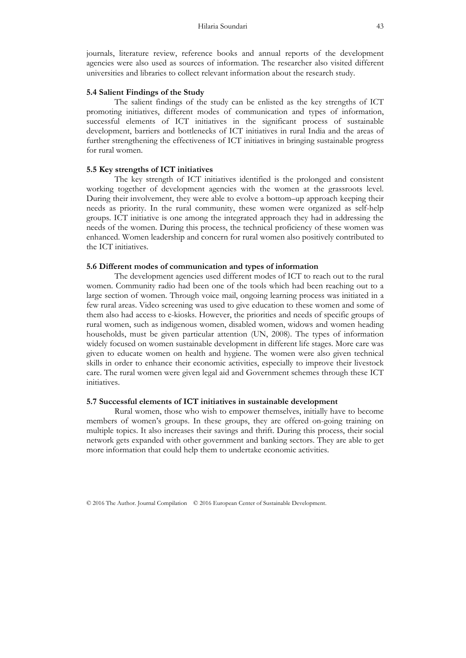journals, literature review, reference books and annual reports of the development agencies were also used as sources of information. The researcher also visited different universities and libraries to collect relevant information about the research study.

# **5.4 Salient Findings of the Study**

The salient findings of the study can be enlisted as the key strengths of ICT promoting initiatives, different modes of communication and types of information, successful elements of ICT initiatives in the significant process of sustainable development, barriers and bottlenecks of ICT initiatives in rural India and the areas of further strengthening the effectiveness of ICT initiatives in bringing sustainable progress for rural women.

# **5.5 Key strengths of ICT initiatives**

The key strength of ICT initiatives identified is the prolonged and consistent working together of development agencies with the women at the grassroots level. During their involvement, they were able to evolve a bottom–up approach keeping their needs as priority. In the rural community, these women were organized as self-help groups. ICT initiative is one among the integrated approach they had in addressing the needs of the women. During this process, the technical proficiency of these women was enhanced. Women leadership and concern for rural women also positively contributed to the ICT initiatives.

#### **5.6 Different modes of communication and types of information**

The development agencies used different modes of ICT to reach out to the rural women. Community radio had been one of the tools which had been reaching out to a large section of women. Through voice mail, ongoing learning process was initiated in a few rural areas. Video screening was used to give education to these women and some of them also had access to e-kiosks. However, the priorities and needs of specific groups of rural women, such as indigenous women, disabled women, widows and women heading households, must be given particular attention (UN, 2008). The types of information widely focused on women sustainable development in different life stages. More care was given to educate women on health and hygiene. The women were also given technical skills in order to enhance their economic activities, especially to improve their livestock care. The rural women were given legal aid and Government schemes through these ICT initiatives.

# **5.7 Successful elements of ICT initiatives in sustainable development**

Rural women, those who wish to empower themselves, initially have to become members of women's groups. In these groups, they are offered on-going training on multiple topics. It also increases their savings and thrift. During this process, their social network gets expanded with other government and banking sectors. They are able to get more information that could help them to undertake economic activities.

© 2016 The Author. Journal Compilation © 2016 European Center of Sustainable Development.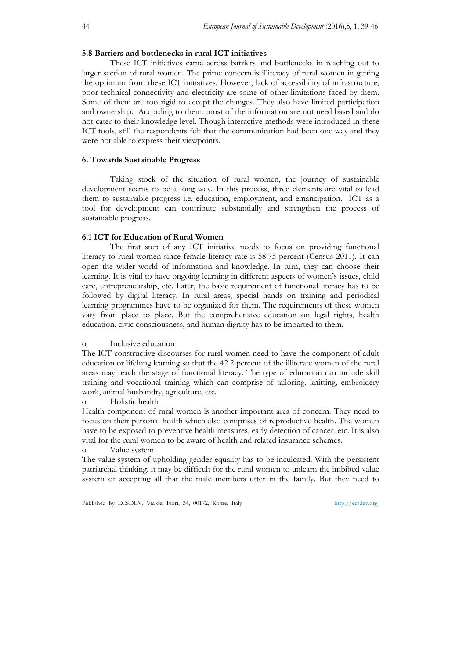# **5.8 Barriers and bottlenecks in rural ICT initiatives**

These ICT initiatives came across barriers and bottlenecks in reaching out to larger section of rural women. The prime concern is illiteracy of rural women in getting the optimum from these ICT initiatives. However, lack of accessibility of infrastructure, poor technical connectivity and electricity are some of other limitations faced by them. Some of them are too rigid to accept the changes. They also have limited participation and ownership. According to them, most of the information are not need based and do not cater to their knowledge level. Though interactive methods were introduced in these ICT tools, still the respondents felt that the communication had been one way and they were not able to express their viewpoints.

## **6. Towards Sustainable Progress**

Taking stock of the situation of rural women, the journey of sustainable development seems to be a long way. In this process, three elements are vital to lead them to sustainable progress i.e. education, employment, and emancipation. ICT as a tool for development can contribute substantially and strengthen the process of sustainable progress.

## **6.1 ICT for Education of Rural Women**

The first step of any ICT initiative needs to focus on providing functional literacy to rural women since female literacy rate is 58.75 percent (Census 2011). It can open the wider world of information and knowledge. In turn, they can choose their learning. It is vital to have ongoing learning in different aspects of women's issues, child care, entrepreneurship, etc. Later, the basic requirement of functional literacy has to be followed by digital literacy. In rural areas, special hands on training and periodical learning programmes have to be organized for them. The requirements of these women vary from place to place. But the comprehensive education on legal rights, health education, civic consciousness, and human dignity has to be imparted to them.

## o Inclusive education

The ICT constructive discourses for rural women need to have the component of adult education or lifelong learning so that the 42.2 percent of the illiterate women of the rural areas may reach the stage of functional literacy. The type of education can include skill training and vocational training which can comprise of tailoring, knitting, embroidery work, animal husbandry, agriculture, etc.

o Holistic health

Health component of rural women is another important area of concern. They need to focus on their personal health which also comprises of reproductive health. The women have to be exposed to preventive health measures, early detection of cancer, etc. It is also vital for the rural women to be aware of health and related insurance schemes.

# o Value system

The value system of upholding gender equality has to be inculcated. With the persistent patriarchal thinking, it may be difficult for the rural women to unlearn the imbibed value system of accepting all that the male members utter in the family. But they need to

Published by ECSDEV, Via dei Fiori, 34, 00172, Rome, Italy http://ecsdev.org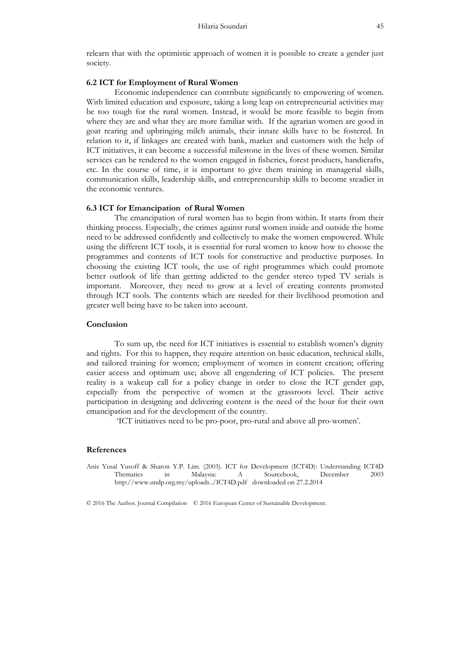relearn that with the optimistic approach of women it is possible to create a gender just society.

#### **6.2 ICT for Employment of Rural Women**

Economic independence can contribute significantly to empowering of women. With limited education and exposure, taking a long leap on entrepreneurial activities may be too tough for the rural women. Instead, it would be more feasible to begin from where they are and what they are more familiar with. If the agrarian women are good in goat rearing and upbringing milch animals, their innate skills have to be fostered. In relation to it, if linkages are created with bank, market and customers with the help of ICT initiatives, it can become a successful milestone in the lives of these women. Similar services can be rendered to the women engaged in fisheries, forest products, handicrafts, etc. In the course of time, it is important to give them training in managerial skills, communication skills, leadership skills, and entrepreneurship skills to become steadier in the economic ventures.

#### **6.3 ICT for Emancipation of Rural Women**

The emancipation of rural women has to begin from within. It starts from their thinking process. Especially, the crimes against rural women inside and outside the home need to be addressed confidently and collectively to make the women empowered. While using the different ICT tools, it is essential for rural women to know how to choose the programmes and contents of ICT tools for constructive and productive purposes. In choosing the existing ICT tools, the use of right programmes which could promote better outlook of life than getting addicted to the gender stereo typed TV serials is important. Moreover, they need to grow at a level of creating contents promoted through ICT tools. The contents which are needed for their livelihood promotion and greater well being have to be taken into account.

## **Conclusion**

To sum up, the need for ICT initiatives is essential to establish women's dignity and rights. For this to happen, they require attention on basic education, technical skills, and tailored training for women; employment of women in content creation; offering easier access and optimum use; above all engendering of ICT policies. The present reality is a wakeup call for a policy change in order to close the ICT gender gap, especially from the perspective of women at the grassroots level. Their active participation in designing and delivering content is the need of the hour for their own emancipation and for the development of the country.

'ICT initiatives need to be pro-poor, pro-rural and above all pro-women'.

# **References**

Anis Yusal Yusoff & Sharon Y.P. Lim. (2003). ICT for Development (ICT4D): Understanding ICT4D Thematics in Malaysia: A Sourcebook, December 2003 http://www.undp.org.my/uploads../ICT4D.pdf downloaded on 27.2.2014

© 2016 The Author. Journal Compilation © 2016 European Center of Sustainable Development.